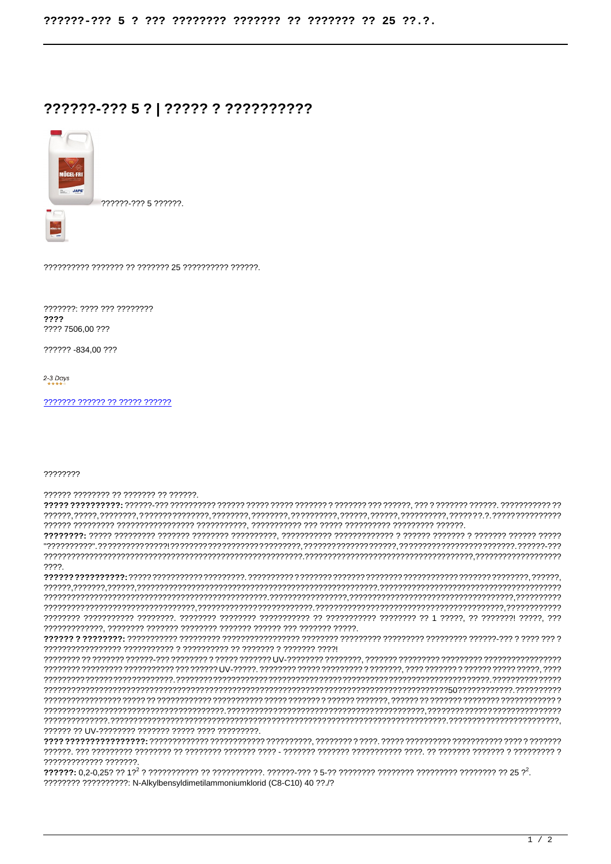## ??????-??? 5 ? | ????? ? ??????????



777772-7775 777777

???????: ???? ??? ???????? ???? ???? 7506.00 ???

222222 - 834.00.222

2-3 Days

## 22222222

777777 77777777 77 7777777 77 777777.

 $??\,?\.$ 

7777777777777 7777777

???????? ?????????? N-Alkylbensyldimetilammoniumklorid (C8-C10) 40 ??./?